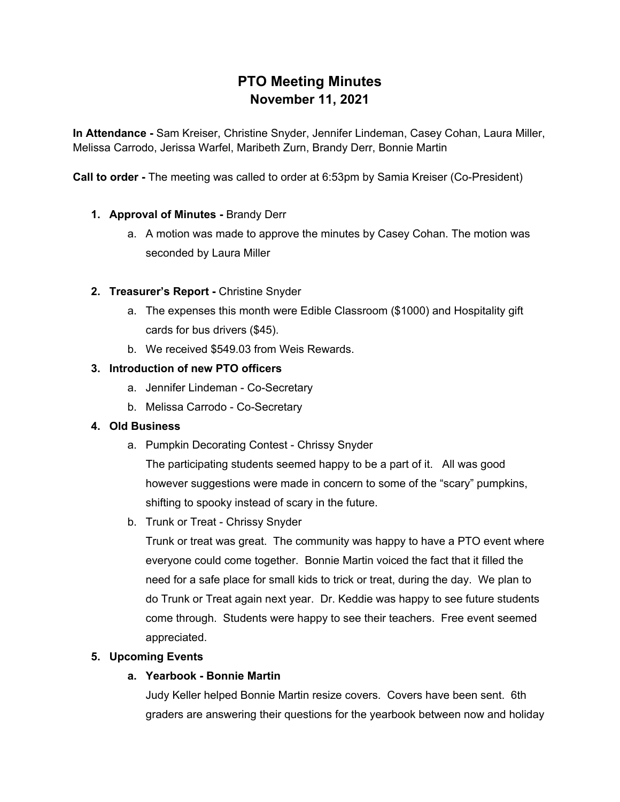# **PTO Meeting Minutes November 11, 2021**

**In Attendance -** Sam Kreiser, Christine Snyder, Jennifer Lindeman, Casey Cohan, Laura Miller, Melissa Carrodo, Jerissa Warfel, Maribeth Zurn, Brandy Derr, Bonnie Martin

**Call to order -** The meeting was called to order at 6:53pm by Samia Kreiser (Co-President)

# **1. Approval of Minutes -** Brandy Derr

a. A motion was made to approve the minutes by Casey Cohan. The motion was seconded by Laura Miller

# **2. Treasurer's Report -** Christine Snyder

- a. The expenses this month were Edible Classroom (\$1000) and Hospitality gift cards for bus drivers (\$45).
- b. We received \$549.03 from Weis Rewards.

# **3. Introduction of new PTO officers**

- a. Jennifer Lindeman Co-Secretary
- b. Melissa Carrodo Co-Secretary

# **4. Old Business**

a. Pumpkin Decorating Contest - Chrissy Snyder

The participating students seemed happy to be a part of it. All was good however suggestions were made in concern to some of the "scary" pumpkins, shifting to spooky instead of scary in the future.

b. Trunk or Treat - Chrissy Snyder

Trunk or treat was great. The community was happy to have a PTO event where everyone could come together. Bonnie Martin voiced the fact that it filled the need for a safe place for small kids to trick or treat, during the day. We plan to do Trunk or Treat again next year. Dr. Keddie was happy to see future students come through. Students were happy to see their teachers. Free event seemed appreciated.

# **5. Upcoming Events**

# **a. Yearbook - Bonnie Martin**

Judy Keller helped Bonnie Martin resize covers. Covers have been sent. 6th graders are answering their questions for the yearbook between now and holiday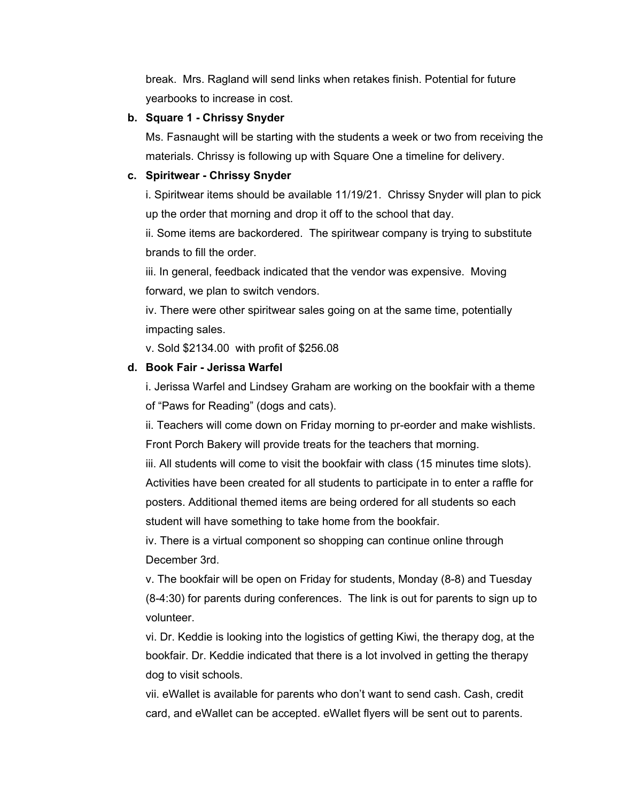break. Mrs. Ragland will send links when retakes finish. Potential for future yearbooks to increase in cost.

#### **b. Square 1 - Chrissy Snyder**

Ms. Fasnaught will be starting with the students a week or two from receiving the materials. Chrissy is following up with Square One a timeline for delivery.

#### **c. Spiritwear - Chrissy Snyder**

i. Spiritwear items should be available 11/19/21. Chrissy Snyder will plan to pick up the order that morning and drop it off to the school that day.

ii. Some items are backordered. The spiritwear company is trying to substitute brands to fill the order.

iii. In general, feedback indicated that the vendor was expensive. Moving forward, we plan to switch vendors.

iv. There were other spiritwear sales going on at the same time, potentially impacting sales.

v. Sold \$2134.00 with profit of \$256.08

#### **d. Book Fair - Jerissa Warfel**

i. Jerissa Warfel and Lindsey Graham are working on the bookfair with a theme of "Paws for Reading" (dogs and cats).

ii. Teachers will come down on Friday morning to pr-eorder and make wishlists. Front Porch Bakery will provide treats for the teachers that morning.

iii. All students will come to visit the bookfair with class (15 minutes time slots). Activities have been created for all students to participate in to enter a raffle for posters. Additional themed items are being ordered for all students so each student will have something to take home from the bookfair.

iv. There is a virtual component so shopping can continue online through December 3rd.

v. The bookfair will be open on Friday for students, Monday (8-8) and Tuesday (8-4:30) for parents during conferences. The link is out for parents to sign up to volunteer.

vi. Dr. Keddie is looking into the logistics of getting Kiwi, the therapy dog, at the bookfair. Dr. Keddie indicated that there is a lot involved in getting the therapy dog to visit schools.

vii. eWallet is available for parents who don't want to send cash. Cash, credit card, and eWallet can be accepted. eWallet flyers will be sent out to parents.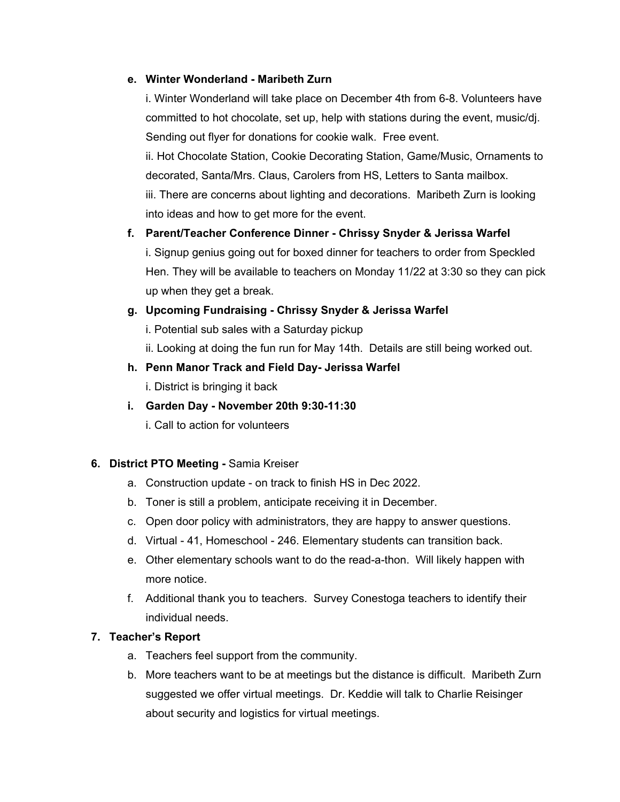### **e. Winter Wonderland - Maribeth Zurn**

i. Winter Wonderland will take place on December 4th from 6-8. Volunteers have committed to hot chocolate, set up, help with stations during the event, music/dj. Sending out flyer for donations for cookie walk. Free event.

ii. Hot Chocolate Station, Cookie Decorating Station, Game/Music, Ornaments to decorated, Santa/Mrs. Claus, Carolers from HS, Letters to Santa mailbox. iii. There are concerns about lighting and decorations. Maribeth Zurn is looking into ideas and how to get more for the event.

- **f. Parent/Teacher Conference Dinner Chrissy Snyder & Jerissa Warfel** i. Signup genius going out for boxed dinner for teachers to order from Speckled Hen. They will be available to teachers on Monday 11/22 at 3:30 so they can pick up when they get a break.
- **g. Upcoming Fundraising Chrissy Snyder & Jerissa Warfel**
	- i. Potential sub sales with a Saturday pickup
	- ii. Looking at doing the fun run for May 14th. Details are still being worked out.
- **h. Penn Manor Track and Field Day- Jerissa Warfel**
	- i. District is bringing it back
- **i. Garden Day November 20th 9:30-11:30**
	- i. Call to action for volunteers

# **6. District PTO Meeting -** Samia Kreiser

- a. Construction update on track to finish HS in Dec 2022.
- b. Toner is still a problem, anticipate receiving it in December.
- c. Open door policy with administrators, they are happy to answer questions.
- d. Virtual 41, Homeschool 246. Elementary students can transition back.
- e. Other elementary schools want to do the read-a-thon. Will likely happen with more notice.
- f. Additional thank you to teachers. Survey Conestoga teachers to identify their individual needs.

# **7. Teacher's Report**

- a. Teachers feel support from the community.
- b. More teachers want to be at meetings but the distance is difficult. Maribeth Zurn suggested we offer virtual meetings. Dr. Keddie will talk to Charlie Reisinger about security and logistics for virtual meetings.